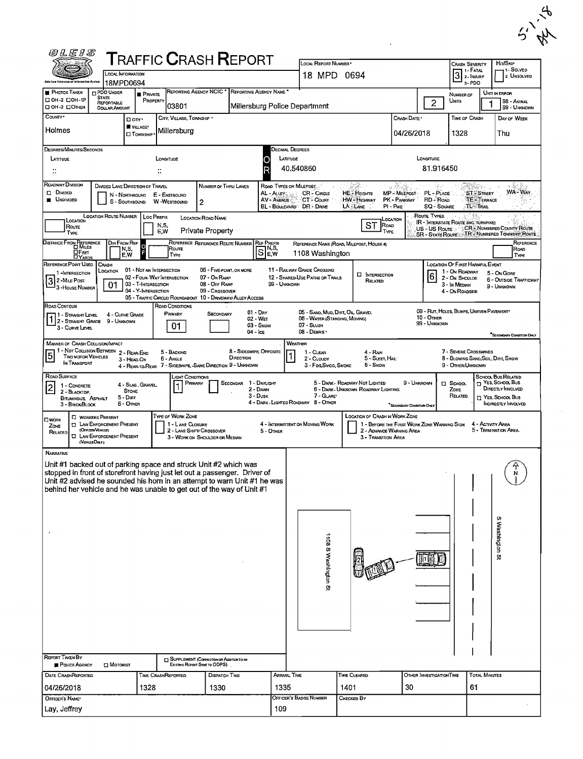|        | $\mathcal{A}$ |  |
|--------|---------------|--|
| $\sim$ | ١N<br>А,      |  |

| <b>@LEIS</b>                                                                                                            |                                                                                                                                    |                                                                                    |                                                                     | <b>TRAFFIC CRASH REPORT</b>                                                                                                                                                                                                                                                                        |                                   |                                                                                                |                                                                                        |                                                                                     |                                                                                                                | $\boldsymbol{\mathscr{N}}$                                                                                    |
|-------------------------------------------------------------------------------------------------------------------------|------------------------------------------------------------------------------------------------------------------------------------|------------------------------------------------------------------------------------|---------------------------------------------------------------------|----------------------------------------------------------------------------------------------------------------------------------------------------------------------------------------------------------------------------------------------------------------------------------------------------|-----------------------------------|------------------------------------------------------------------------------------------------|----------------------------------------------------------------------------------------|-------------------------------------------------------------------------------------|----------------------------------------------------------------------------------------------------------------|---------------------------------------------------------------------------------------------------------------|
|                                                                                                                         |                                                                                                                                    | LOCAL INFORMATION                                                                  |                                                                     |                                                                                                                                                                                                                                                                                                    |                                   | LOCAL REPORT NUMBER*<br>18 MPD 0694                                                            |                                                                                        |                                                                                     | <b>CRASH SEVERITY</b><br>1 - Fatal<br>3<br>2- INJURY                                                           | Hr/S <sub>KP</sub><br>11 SOLVED<br>2. UNSOLVED                                                                |
| <b>PHOTOS TAKEN</b>                                                                                                     | <b>DPDO UNDER</b><br><b>STATE</b>                                                                                                  | 18MPD0694<br><b>E</b> PRIVATE                                                      |                                                                     | REPORTING AGENCY NCIC * REPORTING AGENCY NAME *                                                                                                                                                                                                                                                    |                                   |                                                                                                |                                                                                        |                                                                                     | 3-PDO<br>NUMBER OF                                                                                             | UNIT IN ERROR                                                                                                 |
| □ ОН-2 □ ОН-1Р<br>□ OH-3 □ OTHER<br>COUNTY*                                                                             | REPORTABLE<br><b>DOLLAR AMOUNT</b>                                                                                                 | PROPERTY                                                                           | 03801                                                               |                                                                                                                                                                                                                                                                                                    |                                   | Millersburg Police Department                                                                  |                                                                                        | $\overline{2}$                                                                      | UNITS                                                                                                          | 98 - ANIMAL<br>99 - UNKNOWN                                                                                   |
| Holmes                                                                                                                  |                                                                                                                                    | □ cm·<br>VILLAGE*<br><b>CI</b> TOWNSHIP                                            | CITY, VILLAGE, TOWNSHIP *<br>Millersburg                            |                                                                                                                                                                                                                                                                                                    |                                   |                                                                                                |                                                                                        | CRASH DATE *<br>04/26/2018                                                          | TIME OF CRASH<br>1328                                                                                          | DAY OF WEEK<br>Thu                                                                                            |
| <b>DEGREES/MINUTES/SECONDS</b><br>LATITUDE                                                                              |                                                                                                                                    |                                                                                    | LONGITUDE<br>$\ddot{\phantom{a}}$                                   |                                                                                                                                                                                                                                                                                                    | LATITUDE                          | Decimal Degrees<br>40,540860                                                                   |                                                                                        | LONGITUDE<br>81.916450                                                              |                                                                                                                |                                                                                                               |
| ROADWAY DIVISION<br>$\Box$ Divided<br><b>UNDIVIDED</b>                                                                  |                                                                                                                                    | DIVIDED LANE DIRECTION OF TRAVEL<br>N - NORTHBOUND E - EASTBOUND<br>S - SOUTHBOUND | W-WESTBOUND<br>$\overline{2}$                                       | NUMBER OF THRU LANES                                                                                                                                                                                                                                                                               | AL - ALLEYS<br><b>AV - AVENUE</b> | ROAD TYPES OR MILEPOST.<br><b>CR-CIRCLE</b><br>CT - Count<br>BL - BOULEVARD DR - DRIVE         | <b>HE</b> - HEIGHTS<br>HW - Highway<br>LA - LANE<br>$PI - P_{IKE}$                     | MP - MILEPOST<br>PL - PLACE<br><b>RD-RoAD</b><br>PK - PARKWAY<br><b>SQ - SOUARE</b> | ST-STREET<br>TE - TERRACE<br><b>TL-TRAIL</b>                                                                   | WA-WAY.<br>‱ ∗                                                                                                |
| LOCATION<br>Route<br>TYPE                                                                                               | <b>LOCATION ROUTE NUMBER</b>                                                                                                       | Loc PREFIX                                                                         | N,S,<br>E,W                                                         | <b>LOCATION ROAD NAME</b><br><b>Private Property</b>                                                                                                                                                                                                                                               |                                   |                                                                                                | <b>LOCATION</b><br><b>ST</b><br>ROAD<br>TYPE                                           | Route Types<br>US - US Route :                                                      | <b>IR - INTERSTATE ROUTE (INC. TURNPIKE)</b>                                                                   | CR NUMBERED COUNTY ROUTE<br>SR - STATE ROUTE TR NUMBERED TOWNSHIP ROUTE                                       |
| Distance From Reference<br>Dimiles<br><b>DFEET</b><br>DYARDS                                                            | DIR FROM REF                                                                                                                       | ခြ<br>N,S,<br>E.W                                                                  | Route<br>TYPE                                                       | REFERENCE REFERENCE ROUTE NUMBER                                                                                                                                                                                                                                                                   | <b>REF PREFIX</b><br>SE,          | 1108 Washington                                                                                | REFERENCE NAME (ROAD, MILEPOST, HOUSE #)                                               |                                                                                     |                                                                                                                | REFERENCE<br>ROAD<br>TYPE                                                                                     |
| REFERENCE POINT USED<br>1 -INTERSECTION<br>32 MiLE Post<br>3 - House Number                                             | <b>CRASH</b><br>LOCATION<br>01                                                                                                     | 01 - NOT AN INTERSECTION<br>03 - T-INTERSECTION<br>04 - Y-INTERSECTION             | 02 - FOUR- WAY INTERSECTION                                         | 06 - FIVE-POINT, OR MORE<br>07 - On RAMP<br>08 - OFF RAMP<br>09 - Crossover<br>05 - TRAFFIC CIRCLE/ ROUNDABOUT 10 - DRIVEWAY/ ALLEY ACCESS                                                                                                                                                         | 99 - UNKNOWN                      | 11 - RAILWAY GRADE CROSSING<br>12 - SHARED-USE PATHS OR TRAILS                                 | <b>E</b> INTERSECTION<br>RELATED                                                       | 16                                                                                  | <b>LOCATION OF FIRST HARMFUL EVENT</b><br>1 - On ROADWAY<br>2 - ON SHOULDE<br>3 - In Median<br>4 - On Roadside | 5 - On Gore<br><b>6 - OUTSIDE TRAFFICWAY</b><br>9 - UNKNOWN                                                   |
| ROAD CONTOUR<br>1 STRAIGHT LEVEL<br>$1\overline{\smash{)}2\cdot \text{Straght}}$ Grade 9 - Unknown<br>3 - Curve Level   |                                                                                                                                    | 4 - CURVE GRADE                                                                    | ROAD CONDITIONS<br>PRIMARY<br>01                                    | $01 - \text{Day}$<br><b>SECONDARY</b><br>02 WET<br>03 - Snow<br>04 - Ice                                                                                                                                                                                                                           |                                   | 05 - SAND, MUD, DIRT, OIL GRAVEL<br>06 - WATER (STANDING, MOVING)<br>07 - SLUSH<br>08 - DEBRIS |                                                                                        | $10 -$ OTHER<br>99 - UNKNOWN                                                        | 09 - RUT, HOLES, BUMPS, UNEVEN PAVEMENT*                                                                       | "SECONDARY CONDITION ONLY                                                                                     |
| MANNER OF CRASH COLLISION/IMPACT<br>1 - Not Collision Between<br><u> 5</u><br><b>TWO MOTOR VEHICLES</b><br>IN TRANSPORT |                                                                                                                                    | 2 - REAR-END<br>3 - HEAD-ON                                                        | 5 - BACKING<br>6 - Angle                                            | 8 - SIDESWIPE, OPPOSITE<br>DIRECTION<br>4 - REAR-TD-REAR 7 - SIDESWIPE, -SAME DIRECTION 9 - UNKNOWN                                                                                                                                                                                                |                                   | <b>WEATHER</b><br>1 - CLEAR<br>$\overline{\mathbf{1}}$<br>2 - CLOUDY<br>3 - Fog Smog, Smoke    | 4 - RAN<br>5 - SLEET, HAIL<br>6 - Snow                                                 |                                                                                     | 7 - SEVERE CROSSWINDS<br>8 - Blowing Sand, Soil, Dirt, Snow<br>9 - OTHER/UNKNOWN                               |                                                                                                               |
| ROAD SURFACE<br>1 - CONCRETE<br> 2 <br>2 - BLACKTOP,<br>BITUMINDUS, ASPHALT<br>3 - Brick Block                          |                                                                                                                                    | 4 - Slag, Gravel,<br><b>STONE</b><br>5 - Dirt<br>6 - OTHER                         | <b>LIGHT CONDITIONS</b><br>PRIMARY                                  | 1 - DAYLIGHT<br>SECONDAR<br>2 - DAWN<br>3 - Dusk                                                                                                                                                                                                                                                   |                                   | 7 - GLARE<br>4 - DARK - LIGHTED ROADWAY 8 - OTHER                                              | 5 - DARK - ROADWAY NOT LIGHTED<br>6 - Dark - Unknown Roadway Lighting                  | 9 - UNKNOWN<br>"SECONDARY CONDITION ONLY                                            | <b>D</b> SCHOOL<br>ZONE<br>RELATED                                                                             | <b>SCHOOL BUS RELATED</b><br>NES, SCHOOL BUS<br>DIRECTLY INVOLVED<br>П YES. SCHOOL Bus<br>INDIRECTLY INVOLVED |
| <b>OWORK</b><br>ZONE<br>RELATED                                                                                         | <b>C</b> WORKERS PRESENT<br><b>TI LAW ENFORCEMENT PRESENT</b><br>(Ornæn Venae)<br><b>I LAW ENFORCEMENT PRESENT</b><br>(Verra Chann |                                                                                    | TYPE OF WORK ZONE<br>1 - L ANE CLOSURE<br>2 - LANE SHIFT/ CROSSOVER | 3 - WORK ON SHOULDER OR MEDIAN                                                                                                                                                                                                                                                                     | 5 - OTHER                         | 4 - INTERMITTENT OR MOVING WORK                                                                | <b>LOCATION OF CRASH IN WORK ZONE</b><br>2 - ADVANCE WARNING AREA<br>3 - Transmon Area | 1 - BEFORE THE FIRST WORK ZONE WARNING SIGN                                         |                                                                                                                | 4 - Activity Area<br>5 - TERMINATION AREA.                                                                    |
| <b>NARRATIVE</b>                                                                                                        |                                                                                                                                    |                                                                                    |                                                                     | Unit #1 backed out of parking space and struck Unit #2 which was<br>stopped in front of storefront having just let out a passenger. Driver of<br>Unit #2 advised he sounded his horn in an attempt to warn Unit #1 he was<br>behind her vehicle and he was unable to get out of the way of Unit #1 |                                   |                                                                                                |                                                                                        |                                                                                     |                                                                                                                | F<br>N<br>c                                                                                                   |
|                                                                                                                         |                                                                                                                                    |                                                                                    |                                                                     |                                                                                                                                                                                                                                                                                                    |                                   | 1108 S Washington St                                                                           |                                                                                        |                                                                                     |                                                                                                                | Washington St                                                                                                 |
| <b>REPORT TAKEN BY</b>                                                                                                  |                                                                                                                                    |                                                                                    |                                                                     |                                                                                                                                                                                                                                                                                                    |                                   |                                                                                                |                                                                                        |                                                                                     |                                                                                                                |                                                                                                               |
| POLICE AGENCY<br><b>DATE CRASHREPORTED</b>                                                                              | $\square$ Motorist                                                                                                                 |                                                                                    | EXISTING REPORT SENT TO ODPS)<br>TIME CRASHREPORTED                 | SUPPLEMENT (CORRECTION OR ADDITION TO AN<br>DISPATCH TIME                                                                                                                                                                                                                                          | ARRIVAL TIME                      |                                                                                                | TIME CLEARED                                                                           | OTHER INVESTIGATION TIME                                                            | TOTAL MINUTES                                                                                                  |                                                                                                               |
| 04/26/2018                                                                                                              |                                                                                                                                    | 1328                                                                               |                                                                     | 1330                                                                                                                                                                                                                                                                                               | 1335                              |                                                                                                | 1401                                                                                   | 30                                                                                  | 61                                                                                                             |                                                                                                               |
| OFFICER'S NAME<br>Lay, Jeffrey                                                                                          |                                                                                                                                    |                                                                                    |                                                                     |                                                                                                                                                                                                                                                                                                    | 109                               | Officer's Badge Number                                                                         | CHECKED BY                                                                             |                                                                                     |                                                                                                                |                                                                                                               |
|                                                                                                                         |                                                                                                                                    |                                                                                    |                                                                     |                                                                                                                                                                                                                                                                                                    |                                   |                                                                                                |                                                                                        |                                                                                     |                                                                                                                |                                                                                                               |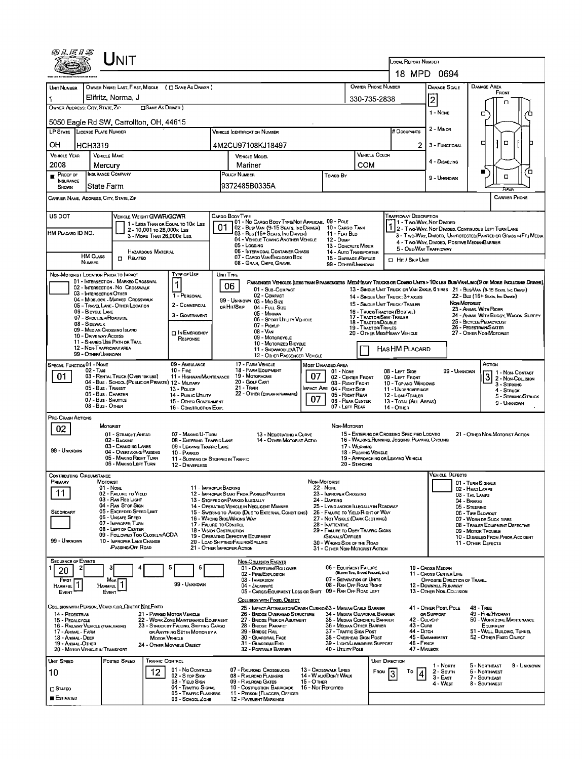| ${\sf UnIT}$                                                                                                                                                                                                                                                          |                                                                                                        |                                                                                                 |                                                                                                                                                                                                                    |  |  |  |  |  |  |  |  |
|-----------------------------------------------------------------------------------------------------------------------------------------------------------------------------------------------------------------------------------------------------------------------|--------------------------------------------------------------------------------------------------------|-------------------------------------------------------------------------------------------------|--------------------------------------------------------------------------------------------------------------------------------------------------------------------------------------------------------------------|--|--|--|--|--|--|--|--|
|                                                                                                                                                                                                                                                                       |                                                                                                        | <b>LOCAL REPORT NUMBER</b><br>18 MPD 0694                                                       |                                                                                                                                                                                                                    |  |  |  |  |  |  |  |  |
|                                                                                                                                                                                                                                                                       |                                                                                                        |                                                                                                 |                                                                                                                                                                                                                    |  |  |  |  |  |  |  |  |
| OWNER NAME: LAST, FIRST, MIDDLE ( C) SAME AS DRIVER )<br>UNIT NUMBER<br>Elifritz, Norma, J                                                                                                                                                                            |                                                                                                        | OWNER PHONE NUMBER                                                                              | DAMAGE AREA<br>DAMAGE SCALE<br>FRONT                                                                                                                                                                               |  |  |  |  |  |  |  |  |
| OWNER ADDRESS: CITY, STATE, ZIP<br>□ SAME AS DRIVER }                                                                                                                                                                                                                 |                                                                                                        | 330-735-2838                                                                                    | $\overline{2}$<br>Ω                                                                                                                                                                                                |  |  |  |  |  |  |  |  |
| 5050 Eagle Rd SW, Carrollton, OH, 44615                                                                                                                                                                                                                               |                                                                                                        |                                                                                                 | 1 - None<br>п                                                                                                                                                                                                      |  |  |  |  |  |  |  |  |
| LP STATE LICENSE PLATE NUMBER                                                                                                                                                                                                                                         | <b>VEHICLE IDENTIFICATION NUMBER</b>                                                                   | <b>H</b> OccupANTS                                                                              | 2 - MINOR                                                                                                                                                                                                          |  |  |  |  |  |  |  |  |
| он<br><b>HCH3319</b>                                                                                                                                                                                                                                                  | 4M2CU97108KJ18497                                                                                      | 2                                                                                               | σ<br>□<br>3 - FUNCTIONAL                                                                                                                                                                                           |  |  |  |  |  |  |  |  |
| <b>VEHICLE YEAR</b><br><b>VEHICLE MAKE</b>                                                                                                                                                                                                                            | <b>VEHICLE MODEL</b>                                                                                   | <b>VEHICLE COLOR</b>                                                                            |                                                                                                                                                                                                                    |  |  |  |  |  |  |  |  |
| 2008<br>Mercury<br><b>INSURANCE COMPANY</b>                                                                                                                                                                                                                           | Mariner<br>POLICY NUMBER                                                                               | COM                                                                                             | 4 - DISABLING<br>′□                                                                                                                                                                                                |  |  |  |  |  |  |  |  |
| PROOF OF<br>INSURANCE<br><b>State Farm</b><br>SHOWN                                                                                                                                                                                                                   | Toweo By<br>9372485B0335A                                                                              |                                                                                                 | $\Box$<br>9 - UNKNOWN                                                                                                                                                                                              |  |  |  |  |  |  |  |  |
| CARRIER NAME, ADDRESS, CITY, STATE, ZIP                                                                                                                                                                                                                               |                                                                                                        |                                                                                                 | CARRIER PHONE                                                                                                                                                                                                      |  |  |  |  |  |  |  |  |
|                                                                                                                                                                                                                                                                       |                                                                                                        |                                                                                                 |                                                                                                                                                                                                                    |  |  |  |  |  |  |  |  |
| VEHICLE WEIGHT GVWR/GCWR<br>Trafficway Description<br>US DOT<br>Cargo Body Type<br>01 - No Cargo Body Type/Not Applicabl 09 - Pole<br>1 - Two Way, Not Divided<br>1 - LESS THAN OR EQUAL TO 10K LBS<br>Ω<br>02 - Bus/ Van (9-15 Seats, Inc Driver)<br>10 - Cargo Tank |                                                                                                        |                                                                                                 |                                                                                                                                                                                                                    |  |  |  |  |  |  |  |  |
| 2-10,001 To 26,000K LBS<br>HM PLACARD ID NO.<br>3 - MORE THAN 26,000K LBS.                                                                                                                                                                                            | 03 - Bus (16+ Seats, Inc Driver)<br>11 - Flat Beo<br>04 - VEHICLE TOWING ANOTHER VEHICLE<br>12 - Dump  |                                                                                                 | 2 - Two-Way, Not Divided, Continuous LEFT TURN LANE<br>3 - Two-Way, Divided, Unprotected(Painted or Grass >>FT.) Media                                                                                             |  |  |  |  |  |  |  |  |
| HAZARDOUS MATERIAL                                                                                                                                                                                                                                                    | 05 - Logging<br>06 - INTERMODAL CONTAINER CHASIS                                                       | 13 - CONCRETE MIXER<br>14 - AUTO TRANSPORTER                                                    | 4 - TWO-WAY, DIVIDED, POSITIVE MEDIANBARRIER<br>5 - ONE-WAY TRAFFICWAY                                                                                                                                             |  |  |  |  |  |  |  |  |
| <b>HM CLASS</b><br>$\Box$ Related<br>NUMBER                                                                                                                                                                                                                           | 07 - CARGO VAN/ENCLOSED BOX<br>08 - Grain, Chips, Gravel                                               | 15 - GARBAGE REFUSE<br><b>El Hrr / Skip Unit</b><br>99 - OTHER/UNKNOWN                          |                                                                                                                                                                                                                    |  |  |  |  |  |  |  |  |
| Type or Use<br>NON-MOTORIST LOCATION PRIOR TO IMPACT                                                                                                                                                                                                                  | UNIT TYPE                                                                                              |                                                                                                 |                                                                                                                                                                                                                    |  |  |  |  |  |  |  |  |
| 01 - INTERSECTION - MARKEO CROSSWAL<br>02 - INTERSECTION - NO CROSSWALK                                                                                                                                                                                               | 06<br>01 - SUB-COMPACT                                                                                 |                                                                                                 | PASSENGER VEHICLES (LESS THAN 9 PASSENGERS MED/HEAVY TRUCKS OR COMBO UNITS > 10K LBS BUS/VANLIMO(9 OR MORE INCLUDING DRIVER)<br>13 - SINGLE UNIT TRUCK OR VAN 2AXLE, 6 TIRES 21 - BUS/VAN (9-15 SEATS, INC DRIVER) |  |  |  |  |  |  |  |  |
| 03 - INTERSECTION OTHER<br>1 - PERSONAL<br>04 - MIDBLOCK - MARKED CROSSWALK                                                                                                                                                                                           | 02 - COMPACT<br>99 - UNKNOWN 03 - MID SIZE                                                             | 14 - SINGLE UNIT TRUCK: 3+ AXLES<br>15 - SINGLE UNIT TRUCK / TRAILER                            | 22 - Bus (16+ Seats, Inc Driver)<br>Non-Motorust                                                                                                                                                                   |  |  |  |  |  |  |  |  |
| 2 - COMMERCIAL<br>05 - Travel Lane - Other Location<br>06 - BICYCLE LANE<br>3 - Government                                                                                                                                                                            | or Hit/Skip<br>04 - Full Size<br>05 - MINIVAN                                                          | 16 - TRUCK/TRACTOR (BOBTAIL)                                                                    | 23 - ANIMAL WITH RIDER<br>24 - ANIMAL WITH BUGGY, WAGON, SURREY                                                                                                                                                    |  |  |  |  |  |  |  |  |
| 07 - SHDULDER/ROADSIDE<br>08 - SIDEWALK                                                                                                                                                                                                                               | 06 - SPORT UTILITY VEHICLE<br>07 - Pickup                                                              | 17 - Tractor/Semi-Trailer<br>18 - Tractor/Double<br>19 - TRACTOR/TRIPLES                        | 25 - BICYCLE/PEDACYCLIST<br>26 - PEDESTRIAN/SKATER                                                                                                                                                                 |  |  |  |  |  |  |  |  |
| 09 - MEDIAN/CROSSING ISLAND<br>$\Box$ In Emergency<br>10 - Drive way Access<br>RESPONSE<br>11 - Shared Use Path or Trail                                                                                                                                              | $08 - V_{AN}$<br>09 - MOTORCYCLE                                                                       | 20 - OTHER MEDIHEAVY VEHICLE                                                                    | 27 - OTHER NON-MOTORIST                                                                                                                                                                                            |  |  |  |  |  |  |  |  |
| 12 - NON-TRAFFICWAY AREA<br>99 - OTHER/UNKNOWN                                                                                                                                                                                                                        | 10 - MOTORIZED BICYCLE<br>11 - SNOWMOBILE/ATV                                                          | HAS HM PLACARD                                                                                  |                                                                                                                                                                                                                    |  |  |  |  |  |  |  |  |
| SPECIAL FUNCTION 01 - NONE<br>09 - AMBULANCE                                                                                                                                                                                                                          | 12 - OTHER PASSENGER VEHICLE<br>17 - FARM VEHICLE<br>MOST DAMAGEO AREA                                 |                                                                                                 | Астюм                                                                                                                                                                                                              |  |  |  |  |  |  |  |  |
| $02 - T$ Axi<br>$10 -$ Fine<br>01<br>03 - RENTAL TRUCK (OVER 10KLBS)<br>11 - HIGHWAY/MAINTENANCE                                                                                                                                                                      | 18 - FARM EQUIPMENT<br>01 - None<br>19 - Мотояноме<br>07                                               | 08 - LEFT SIDE<br>02 - CENTER FRONT<br>09 - LEFT FRONT                                          | 99 - UNKNOWN<br>1 1 - Non- Contact<br>$3\overline{)2}$ - Non-Collision                                                                                                                                             |  |  |  |  |  |  |  |  |
| 04 - Bus - SCHOOL (PUBLIC OR PRIVATE) 12 - MILITARY<br>05 - Bus - Transit<br>13 - Pouce                                                                                                                                                                               | 20 - Golf Cart<br>21 - Train<br>IMPACT ARE 04 - RIGHT SIDE                                             | 03 - Right Front<br>10 - TOP AND WINDOWS<br>11 - UNDERCARRIAGE                                  | 3 - STRIKING<br>4 - Struck                                                                                                                                                                                         |  |  |  |  |  |  |  |  |
| 06 Bus. CHARTER<br>14 - Pusuc UTILITY<br>07 - Bus - SHUTTLE<br>15 - OTHER GOVERNMENT                                                                                                                                                                                  | 22 - OTHER (EXPLAN IN NARRATIVE)<br>07                                                                 | 05 - Right Rear<br>12 - LOAD/TRAILER<br>06 - REAR CENTER<br>13 - TOTAL (ALL AREAS)              | 5 - Striking/Struck<br>9 - UNKNOWN                                                                                                                                                                                 |  |  |  |  |  |  |  |  |
| 08 - Bus - Other<br>16 - CONSTRUCTION EQIP.<br>PRE-CRASH ACTIONS                                                                                                                                                                                                      |                                                                                                        | 07 - LEFT REAR<br>14 - Отнев                                                                    |                                                                                                                                                                                                                    |  |  |  |  |  |  |  |  |
| <b>MOTORIST</b><br>02                                                                                                                                                                                                                                                 |                                                                                                        | NON-MOTORIST                                                                                    |                                                                                                                                                                                                                    |  |  |  |  |  |  |  |  |
| 01 - STRAIGHT AHEAD<br>07 - Making U-Turn<br>02 - BACKING<br>08 - Entering Traffic Lane                                                                                                                                                                               | 13 - Negotiating a Curve<br>14 - OTHER MOTORIST ACTIO                                                  | 15 - ENTERING OR CROSSING SPECIFIED LOCATIO<br>16 - WALKING, RUNNING, JOGGING, PLAYING, CYCLING | 21 - OTHER NON-MOTORIST ACTION                                                                                                                                                                                     |  |  |  |  |  |  |  |  |
| 03 - CHANGING LANES<br>09 - LEAVING TRAFFIC LANE<br>99 - Unknown<br>04 - OVERTAKING/PASSING<br>10 - PARKED                                                                                                                                                            |                                                                                                        | 17 - Working<br>18 - PUSHING VEHICLE                                                            |                                                                                                                                                                                                                    |  |  |  |  |  |  |  |  |
| 05 - MAKING RIGHT TURN<br>06 - MAKING LEFT TURN<br>12 - DRIVERLESS                                                                                                                                                                                                    | 11 - Slowing or Stopped in Traffic                                                                     | 19 - APPROACHING OR LEAVING VEHICLE<br>20 - Standing                                            |                                                                                                                                                                                                                    |  |  |  |  |  |  |  |  |
| Contributing Circumstance                                                                                                                                                                                                                                             | NDN-MOTORIST                                                                                           |                                                                                                 | /EHICLE DEFECTS                                                                                                                                                                                                    |  |  |  |  |  |  |  |  |
| PRIMARY<br>MOTORIST<br>01 - NONE<br>11<br>02 - FAILURE TO YIELD                                                                                                                                                                                                       | 11 - IMPROPER BACKING<br>22 NONE<br>12 - IMPROPER START FROM PARKED POSITION<br>23 - IMPROPER CROSSING |                                                                                                 | 01 - TURN SIGNALS<br>02 - HEAD LAMPS                                                                                                                                                                               |  |  |  |  |  |  |  |  |
| 03 - RAN RED LIGHT<br>04 - RAN STOP SIGN                                                                                                                                                                                                                              | 24 - DARTING<br>13 - Stopped or Parked Illegally<br>14 - OPERATING VEHICLE IN NEGLIGENT MANNER         | 25 - LYING AND/OR LLEGALLY IN ROADWAY                                                           | 03 - TAIL LAMPS<br>04 - Brakes<br>05 - STEERING                                                                                                                                                                    |  |  |  |  |  |  |  |  |
| 05 - Exceeded Speed LIMIT<br>Secondary<br>06 - UNSAFE SPEED                                                                                                                                                                                                           | 15 - Swering to Avoid (Due to External Conditions)<br>16 - WRONG SIDE/WRONG WAY                        | 26 - FALURE TO YIELD RIGHT OF WAY<br>27 - NOT VISIBLE (DARK CLOTHING)                           | 06 - TIRE BLOWOUT<br>07 - WORN OR SUCK TIRES                                                                                                                                                                       |  |  |  |  |  |  |  |  |
| 07 - IMPROPER TURN<br>08 - LEFT OF CENTER                                                                                                                                                                                                                             | 17 - FALURE TO CONTROL<br>28 - INATTENTIVE<br>18 - Vision OBSTRUCTION                                  | 29 - FAILURE TO OBEY TRAFFIC SIGNS                                                              | 08 - TRAILER EQUIPMENT DEFECTIVE<br>09 - MOTOR TROUBLE                                                                                                                                                             |  |  |  |  |  |  |  |  |
| 09 - FOLLOWED TOO CLOSELY/ACDA<br>99 - Unknown<br>10 - IMPROPER LANE CHANGE                                                                                                                                                                                           | 19 - OPERATING DEFECTIVE EQUIPMENT<br>SIGNALS/OFFICER<br>20 - LOAD SHIFTING/FALLING/SPILLING           | 30 - WRONG SIDE OF THE RDAD                                                                     | 10 - DISABLED FROM PRIOR ACCIDENT<br>11 - OTHER DEFECTS                                                                                                                                                            |  |  |  |  |  |  |  |  |
| <b>PASSING/OFF ROAD</b>                                                                                                                                                                                                                                               | 21 - OTHER IMPROPER ACTION                                                                             | 31 - OTHER NON-MOTORIST ACTION                                                                  |                                                                                                                                                                                                                    |  |  |  |  |  |  |  |  |
| <b>SEQUENCE OF EVENTS</b><br>5<br>ĥ<br>2                                                                                                                                                                                                                              | <b>NON-COLLISION EVENTS</b><br>01 - Overturn/Rollover                                                  | 06 - EQUIPMENT FAILURE                                                                          | 10 - Cross Median                                                                                                                                                                                                  |  |  |  |  |  |  |  |  |
| 20<br><b>FIRST</b><br>Most                                                                                                                                                                                                                                            | 02 - FIRE/EXPLOSION<br>03 - IMMERSION                                                                  | (BLOWN TIPE, BRAKE FAILURE, ETC)<br>07 - SEPARATION OF UNITS                                    | 11 - Cross CENTER LINE<br>OPPOSITE DIRECTION OF TRAVEL                                                                                                                                                             |  |  |  |  |  |  |  |  |
| 99 - UNKNOWN<br><b>HARMFUL</b><br><b>HARMFUL</b><br>EVENT<br>EVENT                                                                                                                                                                                                    | 04 - JACKKNIFE<br>05 - CARGO/EQUIPMENT LOSS OR SHIFT                                                   | 08 - RAN OFF ROAD RIGHT<br>09 - RAN OFF ROAD LEFT                                               | 12 - DOWNNILL RUNAWAY<br>13 - OTHER NON-COLLISION                                                                                                                                                                  |  |  |  |  |  |  |  |  |
| COLLISION WITH PERSON, VEHICLE OR OBJECT NOT FIXED                                                                                                                                                                                                                    | COLLISION WITH FIXED, OBJECT<br>25 - IMPACT ATTENUATOR/CRASH CUSHION33 - MEDIAN CABLE BARRIER          |                                                                                                 | 41 - OTHER POST, POLE<br><b>48 - TREE</b>                                                                                                                                                                          |  |  |  |  |  |  |  |  |
| 14 - PEOESTRIAN<br>21 - PARKED MOTOR VEHICLE<br>15 - PEOALCYCLE<br>22 - WORK ZONE MAINTENANCE EQUIPMENT                                                                                                                                                               | 26 - BRIDGE OVERHEAD STRUCTURE<br>27 - BRIDGE PIER OR ABUTMENT                                         | 34 - Median Guardrail Barrier<br>35 - Median Concrete Barrier                                   | OR SUPPORT<br>49 - FIRE HYDRANT<br>42 - CULVERT<br>50 - WORK ZONE MAINTENANCE                                                                                                                                      |  |  |  |  |  |  |  |  |
| 23 - STRUCK BY FALLING, SHIFTING CARGO<br>16 - RAILWAY VEHICLE (TRAIN, ENGINE)<br>17 - Animal - Farm<br>OR ANYTHING SET IN MOTION BY A                                                                                                                                | 28 - BRIDGE PARAPET<br>29 - Bridge Rall                                                                | 43 - Cuna<br>36 - Megian Other Barrier<br>44 - Опсн<br>37 - Traffic Sign Post                   | EQUIPMENT<br>51 - WALL BUILDING, TUNNEL                                                                                                                                                                            |  |  |  |  |  |  |  |  |
| 18 - Animal - Deer<br><b>MOTOR VEHICLE</b><br>19 - ANIMAL OTHER<br>24 - OTHER MOVABLE OBJECT                                                                                                                                                                          | 30 - GUARDRAIL FACE<br>31 - GUARDRAILEND                                                               | 38 - Overhead Sign Post<br>46 - FENCE<br>39 - LIGHT/LUMINARIES SUPPORT                          | 45 - EMBANKMENT<br>52 - OTHER FIXED OBJECT                                                                                                                                                                         |  |  |  |  |  |  |  |  |
| 20 - MOTOR VEHICLE IN TRANSPORT                                                                                                                                                                                                                                       | 32 - PORTABLE BARRIER                                                                                  | 40 - Utility Pole                                                                               | 47 - MAILBOX                                                                                                                                                                                                       |  |  |  |  |  |  |  |  |
| UNIT SPEED<br>Posted Speed<br><b>TRAFFIC CONTROL</b><br>01 - No Controls<br>12                                                                                                                                                                                        | 07 - RAILROAD CROSSBUCKS<br>13 - Crosswalk Lines                                                       | <b>UNIT DIRECTION</b><br>FROM<br>То                                                             | 1 - Norm<br>5 - Northeast<br>9 - Unknown<br>6 - Northwest<br>2 - South                                                                                                                                             |  |  |  |  |  |  |  |  |
| 10<br>02 - S TOP SIGN<br>03 - YIELD SIGN                                                                                                                                                                                                                              | 14 - W ALK/DON'T WALK<br>08 - RALRDAD FLASHERS<br>09 - RALROAD GATES<br><b>15 - OTHER</b>              |                                                                                                 | 3 - East<br>7 - SOUTHEAST<br>4 - West<br>8 - SoutHWEST                                                                                                                                                             |  |  |  |  |  |  |  |  |
| 04 - Traffic Signal<br>$\square$ Stateo<br>05 - TRAFFIC FLASHERS<br><b>E</b> ESTIMATED                                                                                                                                                                                | 10 - COSTRUCTION BARRICADE 16 - NOT REPORTED<br>11 - PERSON (FLAGGER, OFFICER                          |                                                                                                 |                                                                                                                                                                                                                    |  |  |  |  |  |  |  |  |
| 06 - Sanool Zone                                                                                                                                                                                                                                                      | <b>12 - PAVEMENT MARKINGS</b>                                                                          |                                                                                                 |                                                                                                                                                                                                                    |  |  |  |  |  |  |  |  |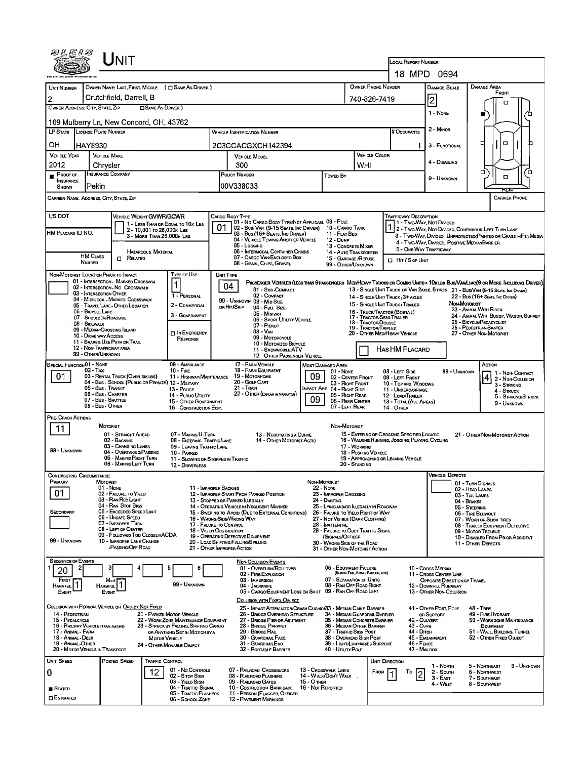| @LEIS                                                                                                                                       |                                                                       |                                                                         |                                                         |                                                                          |                  |                                                                                 |                                                                                                                             |                   |                                                                                                                   |                                      |                                  |                                                                                                                         |                                                                                    |                                      |                                                                   |                                        |  |  |
|---------------------------------------------------------------------------------------------------------------------------------------------|-----------------------------------------------------------------------|-------------------------------------------------------------------------|---------------------------------------------------------|--------------------------------------------------------------------------|------------------|---------------------------------------------------------------------------------|-----------------------------------------------------------------------------------------------------------------------------|-------------------|-------------------------------------------------------------------------------------------------------------------|--------------------------------------|----------------------------------|-------------------------------------------------------------------------------------------------------------------------|------------------------------------------------------------------------------------|--------------------------------------|-------------------------------------------------------------------|----------------------------------------|--|--|
|                                                                                                                                             | JNIT                                                                  |                                                                         |                                                         |                                                                          |                  |                                                                                 |                                                                                                                             |                   |                                                                                                                   |                                      |                                  | LOCAL REPORT NUMBER                                                                                                     |                                                                                    |                                      |                                                                   |                                        |  |  |
|                                                                                                                                             |                                                                       |                                                                         |                                                         |                                                                          |                  |                                                                                 |                                                                                                                             |                   |                                                                                                                   |                                      |                                  |                                                                                                                         | 18 MPD 0694                                                                        |                                      |                                                                   |                                        |  |  |
| UNIT NUMBER                                                                                                                                 | OWNER NAME: LAST, FIRST, MIDDLE ( C SAME AS DRIVER )                  |                                                                         |                                                         |                                                                          |                  |                                                                                 |                                                                                                                             |                   |                                                                                                                   | OWNER PHONE NUMBER                   |                                  |                                                                                                                         | DAMAGE SCALE                                                                       |                                      | DAMAGE AREA<br>FRONT                                              |                                        |  |  |
| 2                                                                                                                                           | Crutchfield, Darrell, B                                               |                                                                         |                                                         |                                                                          |                  |                                                                                 |                                                                                                                             |                   |                                                                                                                   |                                      | 740-826-7419                     |                                                                                                                         | 2                                                                                  |                                      | □                                                                 |                                        |  |  |
|                                                                                                                                             | OWNER ADDRESS: CITY, STATE. ZIP<br><b>CISAME AS DRIVER</b> )          |                                                                         |                                                         |                                                                          |                  |                                                                                 |                                                                                                                             |                   |                                                                                                                   |                                      |                                  |                                                                                                                         | 1 - NONE                                                                           |                                      |                                                                   |                                        |  |  |
| 169 Mulberry Ln, New Concord, OH, 43762                                                                                                     |                                                                       |                                                                         |                                                         |                                                                          |                  |                                                                                 |                                                                                                                             |                   |                                                                                                                   |                                      |                                  |                                                                                                                         | 2 - MINOR                                                                          |                                      |                                                                   |                                        |  |  |
|                                                                                                                                             | LP STATE LICENSE PLATE NUMBER<br><b>VEHICLE IDENTIFICATION NUMBER</b> |                                                                         |                                                         |                                                                          |                  |                                                                                 |                                                                                                                             |                   |                                                                                                                   |                                      |                                  | # Occupants                                                                                                             |                                                                                    |                                      |                                                                   |                                        |  |  |
| он                                                                                                                                          | HAY8930<br>2C3CCACGXCH142394<br><b>VEHICLE MAKE</b>                   |                                                                         |                                                         |                                                                          |                  |                                                                                 |                                                                                                                             |                   |                                                                                                                   |                                      |                                  | 1.                                                                                                                      | 3 - FUNCTIONAL                                                                     |                                      | α<br>о                                                            |                                        |  |  |
| <b>VEHICLE YEAR</b><br>2012                                                                                                                 |                                                                       |                                                                         |                                                         |                                                                          |                  | <b>VEHICLE MODEL</b>                                                            | <b>VEHICLE COLOR</b><br>WHI                                                                                                 |                   |                                                                                                                   |                                      |                                  |                                                                                                                         |                                                                                    |                                      |                                                                   |                                        |  |  |
| <b>PROOF OF</b>                                                                                                                             | Chrysler<br>INSURANCE COMPANY                                         |                                                                         |                                                         |                                                                          |                  | 300<br>POLICY NUMBER<br>Towed By                                                |                                                                                                                             |                   |                                                                                                                   |                                      |                                  |                                                                                                                         |                                                                                    |                                      | α                                                                 | 'n                                     |  |  |
| <b>INSURANCE</b><br>SHOWN                                                                                                                   | Pekin                                                                 |                                                                         |                                                         |                                                                          |                  | 00V338033                                                                       |                                                                                                                             |                   |                                                                                                                   |                                      |                                  |                                                                                                                         | 9 - UNKNOWN                                                                        |                                      | α<br>REAR                                                         |                                        |  |  |
| CARRIER NAME, ADDRESS, CITY, STATE, ZIP                                                                                                     |                                                                       |                                                                         |                                                         |                                                                          |                  |                                                                                 |                                                                                                                             |                   |                                                                                                                   |                                      |                                  |                                                                                                                         |                                                                                    |                                      | <b>CARRIER PHONE</b>                                              |                                        |  |  |
| US DOT                                                                                                                                      |                                                                       | <b>VEHICLE WEIGHT GVWR/GCWR</b>                                         |                                                         |                                                                          | CARGO BODY TYPE  |                                                                                 |                                                                                                                             |                   |                                                                                                                   |                                      |                                  | Trafficway Description                                                                                                  |                                                                                    |                                      |                                                                   |                                        |  |  |
|                                                                                                                                             |                                                                       |                                                                         |                                                         | 1 - LESS THAN OR EOUAL TO 10K LBS                                        |                  |                                                                                 | 01 - No CARGO BOOY TYPE/NOT APPLICABL 09 - POLE<br>02 - Busi Van (9-15 Seats, Inc Driver) 10 - Cargo Tank                   |                   |                                                                                                                   |                                      |                                  |                                                                                                                         | 1 - Two-Way, Not Divided                                                           |                                      |                                                                   |                                        |  |  |
| HM PLACARD ID NO.                                                                                                                           |                                                                       |                                                                         | 2 - 10,001 to 26,000x LBs<br>3 - MORE THAN 26,000K LBS. |                                                                          |                  |                                                                                 | 03 - Bus (15+ SEATS, INC DRIVER)<br>04 - VEHICLE TOWING ANOTHER VEHICLE                                                     |                   | 11 - FLAT BED<br>12 - Dump                                                                                        |                                      |                                  | 2 - TWO-WAY, NOT DIVIDEO, CONTINUOUS LEFT TURN LANE<br>3 - Two WAY, DIVIDEO, UNPROTECTED (PAINTED OR GRASS > FT.) MEDIA |                                                                                    |                                      |                                                                   |                                        |  |  |
|                                                                                                                                             |                                                                       |                                                                         | <b>HAZARDOUS MATERIAL</b>                               |                                                                          |                  |                                                                                 | 05 - Logging<br>06 - INTERMODAL CONTAINER CHASIS                                                                            |                   | 13 - CONCRETE MIXER<br>14 - Auto Transporter                                                                      |                                      |                                  | 4 - TWO-WAY, DIVIDED, POSITIVE MEDIANBARRIER<br>5 - ONE-WAY TRAFFICWAY                                                  |                                                                                    |                                      |                                                                   |                                        |  |  |
|                                                                                                                                             | <b>HM CLASS</b><br><b>NUMBER</b>                                      | $\Box$ Related                                                          |                                                         |                                                                          |                  |                                                                                 | 07 - CARGO VAN ENCLOSEO BOX<br>08 - GRAIN, CHIPS, GRAVEL                                                                    |                   | 15 - GARBAGE REFUSE                                                                                               |                                      |                                  | <b>CI HIT / SKIP UNIT</b>                                                                                               |                                                                                    |                                      |                                                                   |                                        |  |  |
| NON-MOTORIST LOCATION PRIOR TO IMPACT                                                                                                       |                                                                       |                                                                         |                                                         | TYPE OF USE                                                              | <b>UNIT TYPE</b> |                                                                                 |                                                                                                                             |                   | 99 - OTHER/UNKNOWN                                                                                                |                                      |                                  |                                                                                                                         |                                                                                    |                                      |                                                                   |                                        |  |  |
|                                                                                                                                             |                                                                       | 01 - INTERSECTION - MARKED CROSSWAL<br>02 - INTERSECTION - NO CROSSWALK |                                                         |                                                                          |                  | 04                                                                              | PASSENGER VEHICLES (LESS THAN 9 PASSENGERS MEDIMEANY TRUCKS OR COMBO UNITS > 10x LBS BUS/VANUMO(9 OR MORE INCLUDING DRIVER) |                   |                                                                                                                   |                                      |                                  |                                                                                                                         |                                                                                    |                                      |                                                                   |                                        |  |  |
|                                                                                                                                             | 03 - INTERSECTION OTHER                                               | 04 - MIDBLOCK - MARKED CROSSWALK                                        |                                                         | 1 - PERSONAL                                                             |                  |                                                                                 | 01 - Sub-COMPACT<br>02 - COMPACT                                                                                            |                   |                                                                                                                   |                                      |                                  | 14 - SINGLE UNIT TRUCK: 3+ AXLES                                                                                        | 13 - SINGLE UNIT TRUCK OR VAN 2AXLE, 6 TIRES 21 - BUS/VAN (9-15 SEATS, INC DRIVER) |                                      | 22 - Bus (16+ Seats, Inc Driver)                                  |                                        |  |  |
|                                                                                                                                             | 06 - BICYCLE LANE                                                     | 05 - Travel LANE - OTHER LOCATION                                       |                                                         | 2 - COMMERCIAL                                                           |                  | on Hn/Skip                                                                      | 99 - UNKNOWN 03 - MID SIZE<br>04 - Full Size                                                                                |                   |                                                                                                                   |                                      |                                  | 15 - SINGLE UNIT TRUCK / TRAILER<br>16 - TRUCK/TRACTOR (BOBTAL)                                                         |                                                                                    | Now Morphist                         | 23 - ANIMAL WITH RIDER                                            |                                        |  |  |
|                                                                                                                                             | 07 - SHOULDER/ROADSIDE                                                |                                                                         |                                                         | 3 - GOVERNMENT                                                           |                  |                                                                                 | 05 - MINIVAN<br>06 - Sport Utility Vehicle                                                                                  |                   |                                                                                                                   |                                      | 18 - TRACTOR/DOUBLE              | 17 - Tractor/Semi-Trailer                                                                                               |                                                                                    |                                      | 24 - ANIMAL WITH BUGGY, WAGON, SURREY<br>25 - BICYCLE/PEDACYCLIST |                                        |  |  |
| 08 - SIDEWALK<br>09 - MEDIAN/CROSSING ISLAND<br><b>IN EMERGENCY</b>                                                                         |                                                                       |                                                                         |                                                         |                                                                          |                  |                                                                                 | 07 - Pickup<br><b>19 - TRACTOR/TRIPLES</b><br>$08 - V_{AN}$<br>20 - OTHER MEDIHEAVY VEHICLE                                 |                   |                                                                                                                   |                                      |                                  |                                                                                                                         | 26 - PEDESTRIAN/SKATER<br>27 - OTHER NON-MOTORIST                                  |                                      |                                                                   |                                        |  |  |
| 10 - DRIVE WAY ACCESS<br>09 - MOTORCYCLE<br>RESPONSE<br>11 - SHARED-USE PATH OR TRAIL<br>10 - MOTORIZEO BICYCLE<br>12 - NON-TRAFFICWAY AREA |                                                                       |                                                                         |                                                         |                                                                          |                  |                                                                                 |                                                                                                                             |                   |                                                                                                                   |                                      |                                  |                                                                                                                         |                                                                                    |                                      |                                                                   |                                        |  |  |
|                                                                                                                                             | 99 - OTHER/UNKNOWN                                                    |                                                                         |                                                         |                                                                          |                  |                                                                                 | 11 - SNOWMOBILE/ATV<br>12 - OTHER PASSENGER VEHICLE                                                                         |                   |                                                                                                                   |                                      |                                  | HAS HM PLACARD                                                                                                          |                                                                                    |                                      |                                                                   |                                        |  |  |
| SPECIAL FUNCTION 01 - NONE                                                                                                                  | 02 - Taxi                                                             |                                                                         |                                                         | 09 - AMBULANCE<br>$10 - Fr \epsilon$                                     |                  |                                                                                 | 17 - FARM VEHICLE<br>18 - FARM EQUIPMENT                                                                                    |                   | Most Damaged Area<br>01 - NONE                                                                                    |                                      |                                  | 08 - LEFT SIDE                                                                                                          |                                                                                    |                                      | ACTION                                                            |                                        |  |  |
| 01<br>03 - RENTAL TRUCK (OVER 10KLBS)<br>11 - HIGHWAY/MAINTENANCE<br>04 - Bus - SCHOOL (PUBLIC OR PRIVATE) 12 - MILITARY                    |                                                                       |                                                                         |                                                         |                                                                          |                  | 19 - Мотовноме<br>09<br>02 - CENTER FRONT<br>20 - GOLF CART<br>03 - Right Front |                                                                                                                             |                   |                                                                                                                   |                                      |                                  | 09 - LEFT FRONT<br>10 - TOP AND WINDOWS                                                                                 | 99 - UNKNOWN                                                                       |                                      |                                                                   | 1 1 - Non Contact<br>2 - Non-Collision |  |  |
|                                                                                                                                             | 05 - Bus Transit<br>06 Bus CHARTER                                    |                                                                         |                                                         | 13 - Pouce<br>14 - Public UTILITY                                        |                  |                                                                                 | 21 - Train<br>22 - OTHER (EXPLAN IN NARRATIVE)                                                                              |                   | MPACT ARE 04 - RIGHT SIDE<br>05 - Right Rear                                                                      |                                      |                                  | 11 - UNDERCARRIAGE<br>12 - LOAD/TRAILER                                                                                 |                                                                                    |                                      |                                                                   | 3 - STRIKING<br>4 - STRUCK             |  |  |
|                                                                                                                                             | 07 - Bus SHUTTLE<br>08 - Bus - OTHER                                  |                                                                         |                                                         | 15 - OTHER GOVERNMENT<br>16 - CONSTRUCTION EQIP.                         |                  |                                                                                 |                                                                                                                             | 09                | 06 - REAR CENTER<br>07 - LEFT REAR                                                                                |                                      |                                  | 13 - TOTAL (ALL AREAS)<br>14 - OTHER                                                                                    |                                                                                    |                                      |                                                                   | 5 - STRIKING/STRUCK<br>9 - UNKNOWN     |  |  |
| Pre- Crash Actions                                                                                                                          |                                                                       |                                                                         |                                                         |                                                                          |                  |                                                                                 |                                                                                                                             |                   |                                                                                                                   |                                      |                                  |                                                                                                                         |                                                                                    |                                      |                                                                   |                                        |  |  |
| 11                                                                                                                                          | <b>MOTORIST</b>                                                       |                                                                         |                                                         |                                                                          |                  |                                                                                 |                                                                                                                             |                   | NON-MOTORIST                                                                                                      |                                      |                                  |                                                                                                                         |                                                                                    |                                      |                                                                   |                                        |  |  |
|                                                                                                                                             |                                                                       | 01 - STRAIGHT AHEAD<br>02 - BACKING                                     |                                                         | 07 - MAKING U-TURN<br>08 - ENTERING TRAFFIC LANE                         |                  |                                                                                 | 13 - NEGOTIATING A CURVE<br>14 - OTHER MOTORIST ACTIO                                                                       |                   |                                                                                                                   |                                      |                                  | 15 - ENTERING OR CROSSING SPECIFIED LOCATIO<br>16 - WALKING, RUNNING, JOGGING, PLAYING, CYCLING                         |                                                                                    |                                      | 21 - OTHER NON-MOTORIST ACTION                                    |                                        |  |  |
| 99 - UNKNOWN                                                                                                                                |                                                                       | 03 - CHANGING LANES<br>04 - OVERTAKING/PASSING                          |                                                         | 09 - LEAVING TRAFFIC LANE<br>10 - PARKED                                 |                  |                                                                                 |                                                                                                                             |                   |                                                                                                                   | 17 - WORKING<br>18 - PUSHING VEHICLE |                                  |                                                                                                                         |                                                                                    |                                      |                                                                   |                                        |  |  |
|                                                                                                                                             |                                                                       | 05 - MAKING RIGHT TURN<br>06 - MAKING LEFT TURN                         |                                                         | 11 - SLOWING OR STOPPED IN TRAFFIC<br>12 - DRIVERLESS                    |                  |                                                                                 |                                                                                                                             |                   |                                                                                                                   | 20 - Standing                        |                                  | 19 - APPROACHING OR LEAVING VEHICLE                                                                                     |                                                                                    |                                      |                                                                   |                                        |  |  |
| <b>CONTRIBUTING CIRCUMSTANCE</b>                                                                                                            |                                                                       |                                                                         |                                                         |                                                                          |                  |                                                                                 |                                                                                                                             |                   |                                                                                                                   |                                      |                                  |                                                                                                                         | <b>VEHICLE DEFECTS</b>                                                             |                                      |                                                                   |                                        |  |  |
| Primary                                                                                                                                     | <b>MOTORIST</b><br>01 - None                                          |                                                                         |                                                         | 11 - IMPROPER BACKING                                                    |                  |                                                                                 |                                                                                                                             |                   | NON-MOTORIST<br>22 - NONE                                                                                         |                                      |                                  |                                                                                                                         |                                                                                    | 01 - TURN SIGNALS<br>02 - HEAD LAMPS |                                                                   |                                        |  |  |
| 01                                                                                                                                          |                                                                       | 02 - FAILURE, TO YIELD<br>03 - RAN RED LIGHT                            |                                                         | 13 - Stopped or Parked ILLEGALLY                                         |                  |                                                                                 | 12 - IMPROPER START FROM PARKED POSITION                                                                                    |                   | 23 - IMPROPER CROSSING<br>24 - DARTING                                                                            |                                      |                                  |                                                                                                                         |                                                                                    | 03 - TAIL LAMPS<br>04 - Brakes       |                                                                   |                                        |  |  |
| SECONDARY                                                                                                                                   |                                                                       | 04 - RAN STOP SIGN<br>05 - Exceeded Speed LIMIT                         |                                                         |                                                                          |                  |                                                                                 | 14 - OPERATING VEHICLE IN NEGLIGENT MANNER<br>15 - Swering to Avoid (Due to External Conditions)                            |                   | 25 - LYING AND/OR LUEGALLY IN ROADWAY<br>26 - FALURE TO YIELD RIGHT OF WAY                                        |                                      |                                  |                                                                                                                         |                                                                                    | 05 - STEERING<br>06 - Tiar BLowout   |                                                                   |                                        |  |  |
|                                                                                                                                             |                                                                       | 06 - Unsafe Speed<br>07 - IMPROPER TURN                                 |                                                         | 16 - WRONG SIDE/WRONG WAY<br>17 - FALURE TO CONTROL                      |                  |                                                                                 |                                                                                                                             |                   | 27 - NOT VISIBLE (DARK CLOTHING)<br>28 - INATTENTIVE                                                              |                                      |                                  |                                                                                                                         | 07 - WORN OR SLICK TIRES<br>08 - TRAILER EQUIPMENT DEFECTIVE                       |                                      |                                                                   |                                        |  |  |
|                                                                                                                                             |                                                                       | 08 - LEFT OF CENTER<br>09 - Followeo Too Closely/ACDA                   |                                                         | 18 - Vision Osstruction                                                  |                  |                                                                                 | 19 - OPERATING DEFECTIVE EQUIPMENT                                                                                          |                   | 29 - FAILURE TO OBEY TRAFFIC SIGNS<br>09 - MOTOR TROUBLE<br>/Signals/Officer<br>10 - DISABLED FROM PRIOR ACCIDENT |                                      |                                  |                                                                                                                         |                                                                                    |                                      |                                                                   |                                        |  |  |
| 99 - Unknown                                                                                                                                |                                                                       | 10 - IMPROPER LANE CHANGE<br><b>PASSING/OFF ROAD</b>                    |                                                         | 21 - OTHER IMPROPER ACTION                                               |                  |                                                                                 | 20 - LOAD SHIFTING/FALLING/SPILLING                                                                                         |                   | 30 - WRONG SIDE OF THE ROAD<br>31 - OTHER NON-MOTORIST ACTION                                                     |                                      |                                  |                                                                                                                         |                                                                                    |                                      | 11 - OTHER DEFECTS                                                |                                        |  |  |
| <b>SEQUENCE OF EVENTS</b>                                                                                                                   |                                                                       |                                                                         |                                                         |                                                                          |                  |                                                                                 | <b>NDN-COLLISION EVENTS</b>                                                                                                 |                   |                                                                                                                   |                                      |                                  |                                                                                                                         |                                                                                    |                                      |                                                                   |                                        |  |  |
| 20                                                                                                                                          |                                                                       |                                                                         |                                                         | 6                                                                        |                  |                                                                                 | 01 - Overturn/ROLLOVER<br>02 - FIRE/EXPLOSION                                                                               |                   | 06 - EQUIPMENT FAILURE                                                                                            |                                      | (BLOWN TIRE, BRAKE FAILURE, ETC) |                                                                                                                         | 10 - Cross Median<br>11 - Cross CENTER LINE                                        |                                      |                                                                   |                                        |  |  |
| FIRST<br><b>HARMFUL</b>                                                                                                                     | Most<br><b>HARMFUL</b>                                                |                                                                         |                                                         | 99 - UNKNOWN                                                             |                  |                                                                                 | 03 - IMMERSION<br>04 - JACKKNIFE                                                                                            |                   | 07 - SEPARATION OF UNITS<br>08 - RAN OFF ROAD RIGHT                                                               |                                      |                                  |                                                                                                                         | OPPOSITE DIRECTION OF TRAVEL<br>12 - DOWNHILL RUNAWAY                              |                                      |                                                                   |                                        |  |  |
| Event                                                                                                                                       | EVENT                                                                 |                                                                         |                                                         |                                                                          |                  |                                                                                 | 05 - CARGO/EDUIPMENT LOSS OR SHIFT 09 - RAN OFF ROAD LEFT<br>COLLISION WITH FIXED, OBJECT                                   |                   |                                                                                                                   |                                      |                                  |                                                                                                                         | 13 - OTHER NON-COLLISION                                                           |                                      |                                                                   |                                        |  |  |
| COLLISION WITH PERSON, VEHICLE OR OBJECT NOT FIXED                                                                                          |                                                                       |                                                                         |                                                         |                                                                          |                  |                                                                                 | 25 - IMPACT ATTENUATOR/CRASH CUSHION33 - MEDIAN CABLE BARRIER                                                               |                   |                                                                                                                   |                                      |                                  |                                                                                                                         | 41 - OTHER POST, POLE                                                              |                                      | <b>48 - TREE</b>                                                  |                                        |  |  |
| 14 - PEDESTRIAN<br>15 - PEDALCYCLE                                                                                                          |                                                                       |                                                                         |                                                         | 21 - PARKED MOTOR VEHICLE<br>22 - WORK ZONE MAINTENANCE EQUIPMENT        |                  |                                                                                 | 26 - BRIDGE OVERHEAD STRUCTURE<br>27 - BRIDGE PIER OR ABUTMENT                                                              |                   | 34 - MEDIAN GUARDRAIL BARRIER<br>35 - MEDIAN CONCRETE BARRIER                                                     |                                      |                                  | 42 - CULVERT                                                                                                            | OR SUPPORT                                                                         |                                      | 49 - FIRE HYDRANT                                                 | 50 - WORK ZONE MAINTENANCE             |  |  |
| 16 - RAILWAY VEHICLE (TRAIN, ENGINE)<br>17 - Animal - Farm                                                                                  |                                                                       |                                                                         |                                                         | 23 - STRUCK BY FALLING, SHIFTING CARGO<br>OR ANYTHING SET IN MOTION BY A |                  |                                                                                 | 28 - BRIDGE PARAPET<br>29 - Bridge Rail                                                                                     |                   | 36 - MEDIAN OTHER BARRIER<br>37 - TRAFFIC SIGN POST                                                               |                                      |                                  | 43 - Curs<br>44 - Олтсн                                                                                                 |                                                                                    |                                      | <b>EQUIPMENT</b><br>51 - WALL BUILDING, TUNNEL                    |                                        |  |  |
| 18 - ANIMAL - DEER<br>19 - ANIMAL-OTHER                                                                                                     |                                                                       |                                                                         | <b>MOTOR VEHICLE</b>                                    | 24 - OTHER MOVABLE OBJECT                                                |                  |                                                                                 | 30 - GUARDRAIL FACE<br>31 - GUARDRAILEND                                                                                    |                   | 38 - OVERHEAD SIGN POST<br>39 - LIGHT/LUMINARIES SUPPORT                                                          |                                      |                                  | 46 - FENCE                                                                                                              | 45 - EMBANKMENT                                                                    |                                      | 52 - OTHER FIXED OBJECT                                           |                                        |  |  |
| 20 - MOTOR VEHICLE IN TRANSPORT<br>UNIT SPEED                                                                                               |                                                                       | POSTED SPEED                                                            |                                                         |                                                                          |                  |                                                                                 | 32 - PORTABLE BARRIER                                                                                                       |                   | 40 - Unury Pous                                                                                                   |                                      |                                  | 47 - MAILBOX                                                                                                            |                                                                                    |                                      |                                                                   |                                        |  |  |
|                                                                                                                                             |                                                                       |                                                                         | <b>TRAFFIC CONTROL</b><br>12                            | 01 - No CONTROLS                                                         |                  |                                                                                 | 07 - RAILROAD CROSSBUCKS                                                                                                    |                   | 13 - Crosswalk Lines                                                                                              |                                      | <b>UNIT DIRECTION</b><br>FROM    | То                                                                                                                      | 1 - North<br>2 - South                                                             |                                      | 5 - Northeast<br><b>6 - NORTHWEST</b>                             | 9 - UNKNOWN                            |  |  |
| 0                                                                                                                                           |                                                                       |                                                                         |                                                         | 02 - S TOP SIGN<br>03 YELO SIGN                                          |                  |                                                                                 | 08 - RAILROAD FLASHERS<br>09 - RALROAD GATES                                                                                | 15 - О тнев       | 14 - WALK/DON'T WALK                                                                                              |                                      |                                  |                                                                                                                         | $3 - E$ AST<br>4 - WEST                                                            |                                      | 7 - SOUTHEAST<br>8 - Southwest                                    |                                        |  |  |
| STATED                                                                                                                                      |                                                                       |                                                                         |                                                         | 04 - TRAFFIC SIGNAL<br>05 - TRAFFIC FLASHERS                             |                  |                                                                                 | 10 - Costruction Barricade<br>11 - PERSON (FLAGGER, OFFICER                                                                 | 16 - Not Reported |                                                                                                                   |                                      |                                  |                                                                                                                         |                                                                                    |                                      |                                                                   |                                        |  |  |
| <b>D</b> ESTIMATED                                                                                                                          |                                                                       |                                                                         |                                                         | 06 - SCHOOL ZONE                                                         |                  |                                                                                 | <b>12 - PAVEMENT MARKINGS</b>                                                                                               |                   |                                                                                                                   |                                      |                                  |                                                                                                                         |                                                                                    |                                      |                                                                   |                                        |  |  |